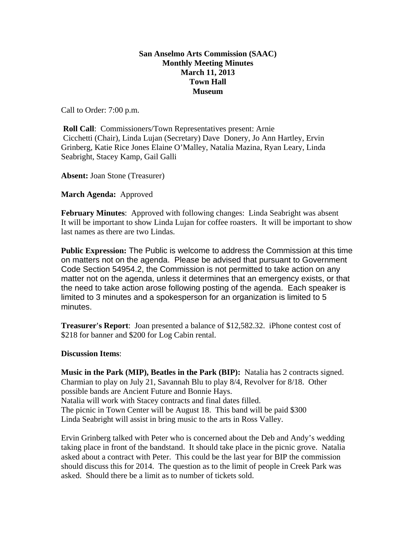## **San Anselmo Arts Commission (SAAC) Monthly Meeting Minutes March 11, 2013 Town Hall Museum**

Call to Order: 7:00 p.m.

**Roll Call:** Commissioners/Town Representatives present: Arnie Cicchetti (Chair), Linda Lujan (Secretary) Dave Donery, Jo Ann Hartley, Ervin Grinberg, Katie Rice Jones Elaine O'Malley, Natalia Mazina, Ryan Leary, Linda Seabright, Stacey Kamp, Gail Galli

**Absent:** Joan Stone (Treasurer)

**March Agenda:** Approved

**February Minutes**: Approved with following changes: Linda Seabright was absent It will be important to show Linda Lujan for coffee roasters. It will be important to show last names as there are two Lindas.

**Public Expression:** The Public is welcome to address the Commission at this time on matters not on the agenda. Please be advised that pursuant to Government Code Section 54954.2, the Commission is not permitted to take action on any matter not on the agenda, unless it determines that an emergency exists, or that the need to take action arose following posting of the agenda. Each speaker is limited to 3 minutes and a spokesperson for an organization is limited to 5 minutes.

**Treasurer's Report**: Joan presented a balance of \$12,582.32. iPhone contest cost of \$218 for banner and \$200 for Log Cabin rental.

## **Discussion Items**:

**Music in the Park (MIP), Beatles in the Park (BIP):** Natalia has 2 contracts signed. Charmian to play on July 21, Savannah Blu to play 8/4, Revolver for 8/18. Other possible bands are Ancient Future and Bonnie Hays. Natalia will work with Stacey contracts and final dates filled. The picnic in Town Center will be August 18. This band will be paid \$300 Linda Seabright will assist in bring music to the arts in Ross Valley.

Ervin Grinberg talked with Peter who is concerned about the Deb and Andy's wedding taking place in front of the bandstand. It should take place in the picnic grove. Natalia asked about a contract with Peter. This could be the last year for BIP the commission should discuss this for 2014. The question as to the limit of people in Creek Park was asked. Should there be a limit as to number of tickets sold.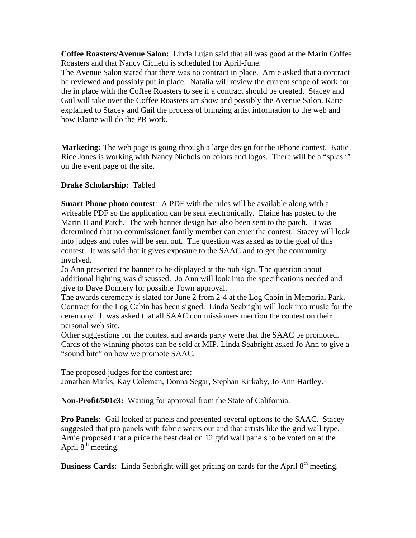**Coffee Roasters/Avenue Salon:** Linda Lujan said that all was good at the Marin Coffee Roasters and that Nancy Cichetti is scheduled for April-June.

The Avenue Salon stated that there was no contract in place. Arnie asked that a contract be reviewed and possibly put in place. Natalia will review the current scope of work for the in place with the Coffee Roasters to see if a contract should be created. Stacey and Gail will take over the Coffee Roasters art show and possibly the Avenue Salon. Katie explained to Stacey and Gail the process of bringing artist information to the web and how Elaine will do the PR work.

**Marketing:** The web page is going through a large design for the iPhone contest. Katie Rice Jones is working with Nancy Nichols on colors and logos. There will be a "splash" on the event page of the site.

## **Drake Scholarship:** Tabled

**Smart Phone photo contest**: A PDF with the rules will be available along with a writeable PDF so the application can be sent electronically. Elaine has posted to the Marin IJ and Patch. The web banner design has also been sent to the patch. It was determined that no commissioner family member can enter the contest. Stacey will look into judges and rules will be sent out. The question was asked as to the goal of this contest. It was said that it gives exposure to the SAAC and to get the community involved.

Jo Ann presented the banner to be displayed at the hub sign. The question about additional lighting was discussed. Jo Ann will look into the specifications needed and give to Dave Donnery for possible Town approval.

The awards ceremony is slated for June 2 from 2-4 at the Log Cabin in Memorial Park. Contract for the Log Cabin has been signed. Linda Seabright will look into music for the ceremony. It was asked that all SAAC commissioners mention the contest on their personal web site.

Other suggestions for the contest and awards party were that the SAAC be promoted. Cards of the winning photos can be sold at MIP. Linda Seabright asked Jo Ann to give a "sound bite" on how we promote SAAC.

The proposed judges for the contest are: Jonathan Marks, Kay Coleman, Donna Segar, Stephan Kirkaby, Jo Ann Hartley.

**Non-Profit/501c3:** Waiting for approval from the State of California.

**Pro Panels:** Gail looked at panels and presented several options to the SAAC. Stacey suggested that pro panels with fabric wears out and that artists like the grid wall type. Arnie proposed that a price the best deal on 12 grid wall panels to be voted on at the April  $8<sup>th</sup>$  meeting.

**Business Cards:** Linda Seabright will get pricing on cards for the April 8<sup>th</sup> meeting.